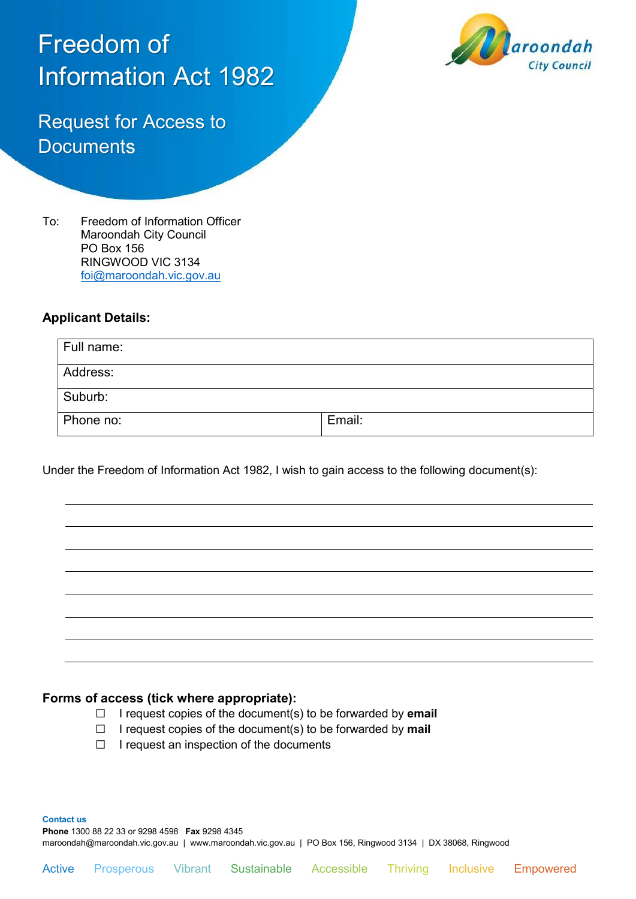# Freedom of Information Act 1982



Request for Access to **Documents** 

To: Freedom of Information Officer Maroondah City Council PO Box 156 RINGWOOD VIC 3134 foi@maroondah.vic.gov.au

## Applicant Details:

| Full name: |        |
|------------|--------|
| Address:   |        |
| Suburb:    |        |
| Phone no:  | Email: |

Under the Freedom of Information Act 1982, I wish to gain access to the following document(s):

## Forms of access (tick where appropriate):

- $\Box$  I request copies of the document(s) to be forwarded by **email**
- $\Box$  I request copies of the document(s) to be forwarded by mail
- ☐ I request an inspection of the documents